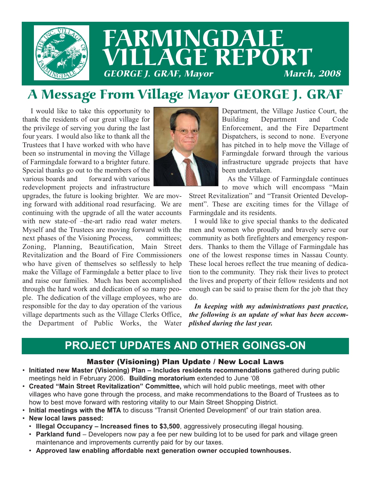

## FARMINGDALE **LLAGE REPORT**<br>GE J. GRAF. Mavor **GEORGE J. GRAF, Mayor**

## A Message From Village Mayor GEORGE J. GRAF

I would like to take this opportunity to thank the residents of our great village for the privilege of serving you during the last four years. I would also like to thank all the Trustees that I have worked with who have been so instrumental in moving the Village of Farmingdale forward to a brighter future. Special thanks go out to the members of the various boards and forward with various redevelopment projects and infrastructure

upgrades, the future is looking brighter. We are moving forward with additional road resurfacing. We are continuing with the upgrade of all the water accounts with new state-of –the-art radio read water meters. Myself and the Trustees are moving forward with the next phases of the Visioning Process, committees; Zoning, Planning, Beautification, Main Street Revitalization and the Board of Fire Commissioners who have given of themselves so selflessly to help make the Village of Farmingdale a better place to live and raise our families. Much has been accomplished through the hard work and dedication of so many people. The dedication of the village employees, who are responsible for the day to day operation of the various village departments such as the Village Clerks Office, the Department of Public Works, the Water



Department, the Village Justice Court, the Building Department and Code Enforcement, and the Fire Department Dispatchers, is second to none. Everyone has pitched in to help move the Village of Farmingdale forward through the various infrastructure upgrade projects that have been undertaken.

As the Village of Farmingdale continues to move which will encompass "Main

Street Revitalization" and "Transit Oriented Development". These are exciting times for the Village of Farmingdale and its residents.

I would like to give special thanks to the dedicated men and women who proudly and bravely serve our community as both firefighters and emergency responders. Thanks to them the Village of Farmingdale has one of the lowest response times in Nassau County. These local heroes reflect the true meaning of dedication to the community. They risk their lives to protect the lives and property of their fellow residents and not enough can be said to praise them for the job that they do.

*In keeping with my administrations past practice, the following is an update of what has been accomplished during the last year.* 

## **PROJECT UPDATES AND OTHER GOINGS-ON**

#### Master (Visioning) Plan Update / New Local Laws

- **Initiated new Master (Visioning) Plan Includes residents recommendations** gathered during public meetings held in February 2006. **Building moratorium** extended to June '08
- **Created "Main Street Revitalization" Committee,** which will hold public meetings, meet with other villages who have gone through the process, and make recommendations to the Board of Trustees as to how to best move forward with restoring vitality to our Main Street Shopping District.
- **Initial meetings with the MTA** to discuss "Transit Oriented Development" of our train station area.
- **New local laws passed:**
	- **Illegal Occupancy Increased fines to \$3,500**, aggressively prosecuting illegal housing.
	- **Parkland fund** Developers now pay a fee per new building lot to be used for park and village green maintenance and improvements currently paid for by our taxes.
	- **Approved law enabling affordable next generation owner occupied townhouses.**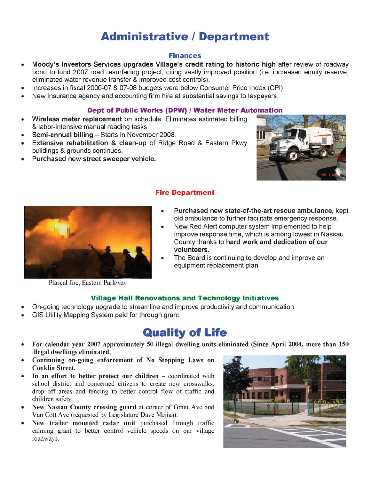## **Administrative / Department**

#### **Finances**

- Moody's Investors Services upgrades Village's credit rating to historic high after review of roadway  $\bullet$ bond to fund 2007 road resurfacing project, citing vastly improved position (i.e. increased equity reserve, eliminated water revenue transfer & improved cost controls).
- Increases in fiscal 2006-07 & 07-08 budgets were below Consumer Price Index (CPI)
- New Insurance agency and accounting firm hire at substantial savings to taxpayers.

#### Dept of Public Works (DPW) / Water Meter Automation

- Wireless meter replacement on schedule. Eliminates estimated billing  $\bullet$ & labor-intensive manual reading tasks.
- Semi-annual billing Starts in November 2008.
- Extensive rehabilitation & clean-up of Ridge Road & Eastern Pkwy buildings & grounds continues.
- Purchased new street sweeper vehicle.





#### **Fire Department**

- Purchased new state-of-the-art rescue ambulance, kept old ambulance to further facilitate emergency response.
- New Red Alert computer system implemented to help improve response time, which is among lowest in Nassau County thanks to hard work and dedication of our volunteers.
- The Board is continuing to develop and improve an equipment replacement plan.

Plascal fire, Eastern Parkway

#### **Village Hall Renovations and Technology Initiatives**

- On-going technology upgrade to streamline and improve productivity and communication.
- GIS Utility Mapping System paid for through grant.

## **Quality of Life**

- For calendar vear 2007 approximately 50 illegal dwelling units eliminated (Since April 2004, more than 150 illegal dwellings eliminated.
- Continuing on-going enforcement of No Stopping Laws on **Conklin Street.**
- In an effort to better protect our children coordinated with school district and concerned citizens to create new crosswalks, drop off areas and fencing to better control flow of traffic and children safety.
- New Nassau County crossing guard at corner of Grant Ave and Van Cott Ave (requested by Legislature Dave Mejias).
- New trailer mounted radar unit purchased through traffic  $\bullet$ calming grant to better control vehicle speeds on our village roadways.

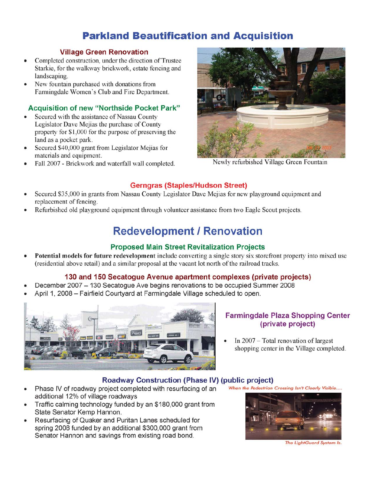### **Parkland Beautification and Acquisition**

#### **Village Green Renovation**

- Completed construction, under the direction of Trustee  $\bullet$ Starkie, for the walkway brickwork, estate fencing and landscaping.
- New fountain purchased with donations from Farmingdale Women's Club and Fire Department.

#### Acquisition of new "Northside Pocket Park"

- Secured with the assistance of Nassau County Legislator Dave Mejias the purchase of County property for \$1,000 for the purpose of preserving the land as a pocket park.
- Secured \$40,000 grant from Legislator Mejias for  $\bullet$ materials and equipment.
- Fall 2007 Brickwork and waterfall wall completed.



Newly refurbished Village Green Fountain

#### **Gerngras (Staples/Hudson Street)**

- Secured \$35,000 in grants from Nassau County Legislator Dave Mejias for new playground equipment and replacement of fencing.
- Refurbished old playground equipment through volunteer assistance from two Eagle Scout projects.

## **Redevelopment / Renovation**

#### **Proposed Main Street Revitalization Projects**

Potential models for future redevelopment include converting a single story six storefront property into mixed use (residential above retail) and a similar proposal at the vacant lot north of the railroad tracks.

#### 130 and 150 Secatogue Avenue apartment complexes (private projects)

- December 2007 130 Secatogue Ave begins renovations to be occupied Summer 2008
- April 1, 2008 Fairfield Courtyard at Farmingdale Village scheduled to open.



#### **Farmingdale Plaza Shopping Center** (private project)

In 2007 – Total renovation of largest shopping center in the Village completed.

When the Pedestrian Crossing Isn't Clearly Visible....

#### **Roadway Construction (Phase IV) (public project)**

- Phase IV of roadway project completed with resurfacing of an additional 12% of village roadways
- Traffic calming technology funded by an \$180,000 grant from State Senator Kemp Hannon.
- Resurfacing of Quaker and Puritan Lanes scheduled for  $\bullet$ spring 2008 funded by an additional \$300,000 grant from Senator Hannon and savings from existing road bond.



The LightGuard System Is.